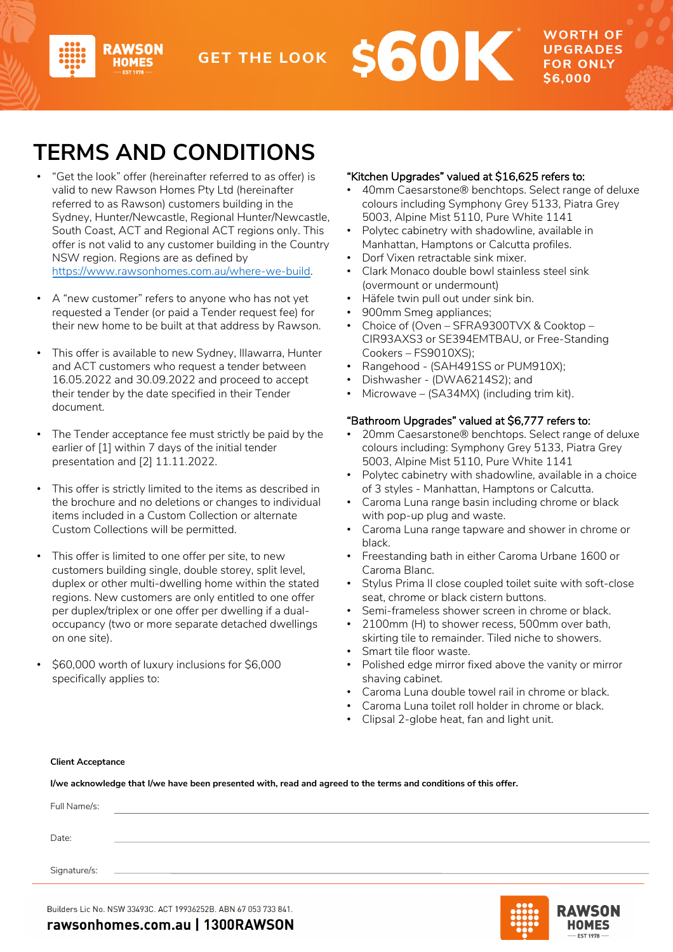# **TERMS AND CONDITIONS**

- "Get the look" offer (hereinafter referred to as offer) is valid to new Rawson Homes Pty Ltd (hereinafter referred to as Rawson) customers building in the Sydney, Hunter/Newcastle, Regional Hunter/Newcastle, South Coast, ACT and Regional ACT regions only. This offer is not valid to any customer building in the Country NSW region. Regions are as defined by https://www.rawsonhomes.com.au/where-we-build.
- A "new customer" refers to anyone who has not yet requested a Tender (or paid a Tender request fee) for [their new home to be built at that address by Rawso](https://www.rawsonhomes.com.au/where-we-build)n.
- This offer is available to new Sydney, Illawarra, Hunter and ACT customers who request a tender between 16.05.2022 and 30.09.2022 and proceed to accept their tender by the date specified in their Tender document.
- The Tender acceptance fee must strictly be paid by the earlier of [1] within 7 days of the initial tender presentation and [2] 11.11.2022.
- This offer is strictly limited to the items as described in the brochure and no deletions or changes to individual items included in a Custom Collection or alternate Custom Collections will be permitted.
- This offer is limited to one offer per site, to new customers building single, double storey, split level, duplex or other multi-dwelling home within the stated regions. New customers are only entitled to one offer per duplex/triplex or one offer per dwelling if a dualoccupancy (two or more separate detached dwellings on one site).
- \$60,000 worth of luxury inclusions for \$6,000 specifically applies to:

## "Kitchen Upgrades" valued at \$16,625 refers to:

• 40mm Caesarstone® benchtops. Select range of deluxe colours including Symphony Grey 5133, Piatra Grey 5003, Alpine Mist 5110, Pure White 1141

**FOR ONLY** \$6,000

- Polytec cabinetry with shadowline, available in Manhattan, Hamptons or Calcutta profiles.
- Dorf Vixen retractable sink mixer.
- Clark Monaco double bowl stainless steel sink (overmount or undermount)
- Häfele twin pull out under sink bin.
- 900mm Smeg appliances;
- Choice of (Oven SFRA9300TVX & Cooktop -CIR93AXS3 or SE394EMTBAU, or Free-Standing Cookers – FS9010XS);
- Rangehood (SAH491SS or PUM910X);
- Dishwasher (DWA6214S2); and
- Microwave (SA34MX) (including trim kit).

## "Bathroom Upgrades" valued at \$6,777 refers to:

- 20mm Caesarstone® benchtops. Select range of deluxe colours including: Symphony Grey 5133, Piatra Grey 5003, Alpine Mist 5110, Pure White 1141
- Polytec cabinetry with shadowline, available in a choice of 3 styles - Manhattan, Hamptons or Calcutta.
- Caroma Luna range basin including chrome or black with pop-up plug and waste.
- Caroma Luna range tapware and shower in chrome or black.
- Freestanding bath in either Caroma Urbane 1600 or Caroma Blanc.
- Stylus Prima II close coupled toilet suite with soft-close seat, chrome or black cistern buttons.
- Semi-frameless shower screen in chrome or black.
- 2100mm (H) to shower recess, 500mm over bath, skirting tile to remainder. Tiled niche to showers.
- Smart tile floor waste.
- Polished edge mirror fixed above the vanity or mirror shaving cabinet.
- Caroma Luna double towel rail in chrome or black.
- Caroma Luna toilet roll holder in chrome or black.
- Clipsal 2-globe heat, fan and light unit.

#### **Client Acceptance**

**I/we acknowledge that I/we have been presented with, read and agreed to the terms and conditions of this offer.**

| Full Name/s: |  |
|--------------|--|
|              |  |
| Date:        |  |
|              |  |
| Signature/s: |  |
|              |  |

Builders Lic No. NSW 33493C. ACT 19936252B. ABN 67 053 733 841.

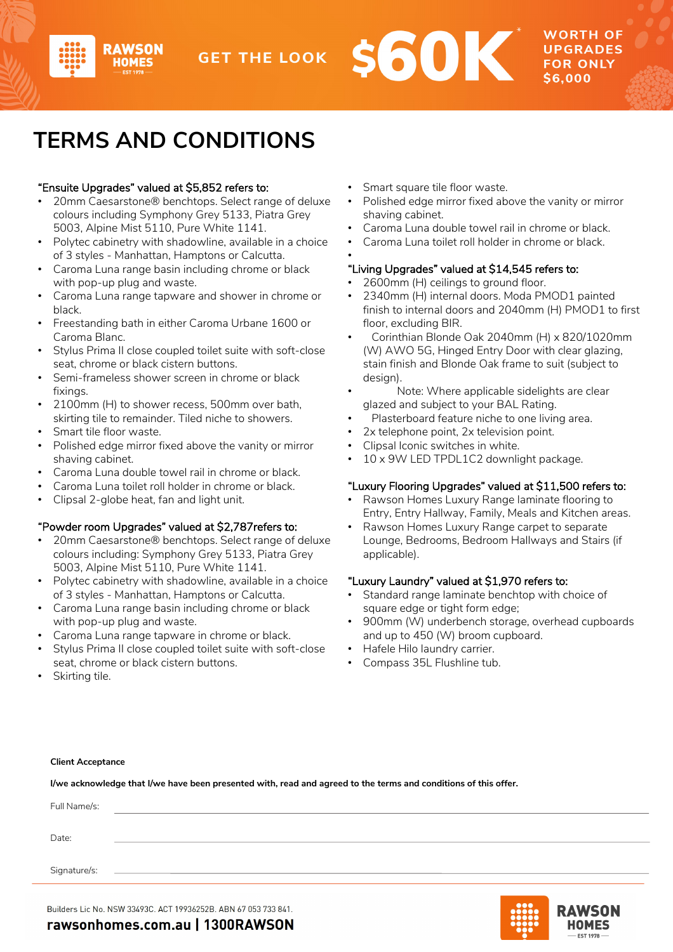



**NORTH OF UPGRADES FOR ONLY** 

# **TERMS AND CONDITIONS**

## "Ensuite Upgrades" valued at \$5,852 refers to:

**2AWSON** 

- 20mm Caesarstone® benchtops. Select range of deluxe colours including Symphony Grey 5133, Piatra Grey 5003, Alpine Mist 5110, Pure White 1141.
- Polytec cabinetry with shadowline, available in a choice of 3 styles - Manhattan, Hamptons or Calcutta.
- Caroma Luna range basin including chrome or black with pop-up plug and waste.
- Caroma Luna range tapware and shower in chrome or black.
- Freestanding bath in either Caroma Urbane 1600 or Caroma Blanc.
- Stylus Prima II close coupled toilet suite with soft-close seat, chrome or black cistern buttons.
- Semi-frameless shower screen in chrome or black fixings.
- 2100mm (H) to shower recess, 500mm over bath, skirting tile to remainder. Tiled niche to showers.
- Smart tile floor waste.
- Polished edge mirror fixed above the vanity or mirror shaving cabinet.
- Caroma Luna double towel rail in chrome or black.
- Caroma Luna toilet roll holder in chrome or black.
- Clipsal 2-globe heat, fan and light unit.

### "Powder room Upgrades" valued at \$2,787refers to:

- 20mm Caesarstone® benchtops. Select range of deluxe colours including: Symphony Grey 5133, Piatra Grey 5003, Alpine Mist 5110, Pure White 1141.
- Polytec cabinetry with shadowline, available in a choice of 3 styles - Manhattan, Hamptons or Calcutta.
- Caroma Luna range basin including chrome or black with pop-up plug and waste.
- Caroma Luna range tapware in chrome or black.
- Stylus Prima II close coupled toilet suite with soft-close seat, chrome or black cistern buttons.
- Smart square tile floor waste.
- Polished edge mirror fixed above the vanity or mirror shaving cabinet.
- Caroma Luna double towel rail in chrome or black.
- Caroma Luna toilet roll holder in chrome or black.

#### • "Living Upgrades" valued at \$14,545 refers to:

- 2600mm (H) ceilings to ground floor.
- 2340mm (H) internal doors. Moda PMOD1 painted finish to internal doors and 2040mm (H) PMOD1 to first floor, excluding BIR.
- Corinthian Blonde Oak 2040mm (H) x 820/1020mm (W) AWO 5G, Hinged Entry Door with clear glazing, stain finish and Blonde Oak frame to suit (subject to design).
- Note: Where applicable sidelights are clear glazed and subject to your BAL Rating.
- Plasterboard feature niche to one living area.
- 2x telephone point, 2x television point.
- Clipsal Iconic switches in white.
- 10 x 9W LED TPDL1C2 downlight package.

## "Luxury Flooring Upgrades" valued at \$11,500 refers to:

- Rawson Homes Luxury Range laminate flooring to Entry, Entry Hallway, Family, Meals and Kitchen areas.
- Rawson Homes Luxury Range carpet to separate Lounge, Bedrooms, Bedroom Hallways and Stairs (if applicable).

### "Luxury Laundry" valued at \$1,970 refers to:

- Standard range laminate benchtop with choice of square edge or tight form edge;
- 900mm (W) underbench storage, overhead cupboards and up to 450 (W) broom cupboard.
- Hafele Hilo laundry carrier.
- Compass 35L Flushline tub.

Skirting tile.

#### **Client Acceptance**

**I/we acknowledge that I/we have been presented with, read and agreed to the terms and conditions of this offer.**

| Full Name/s: |  |
|--------------|--|
|              |  |
| Date:        |  |
| Signature/s: |  |
|              |  |

Builders Lic No. NSW 33493C. ACT 19936252B. ABN 67 053 733 841.



rawsonhomes.com.au | 1300RAWSON